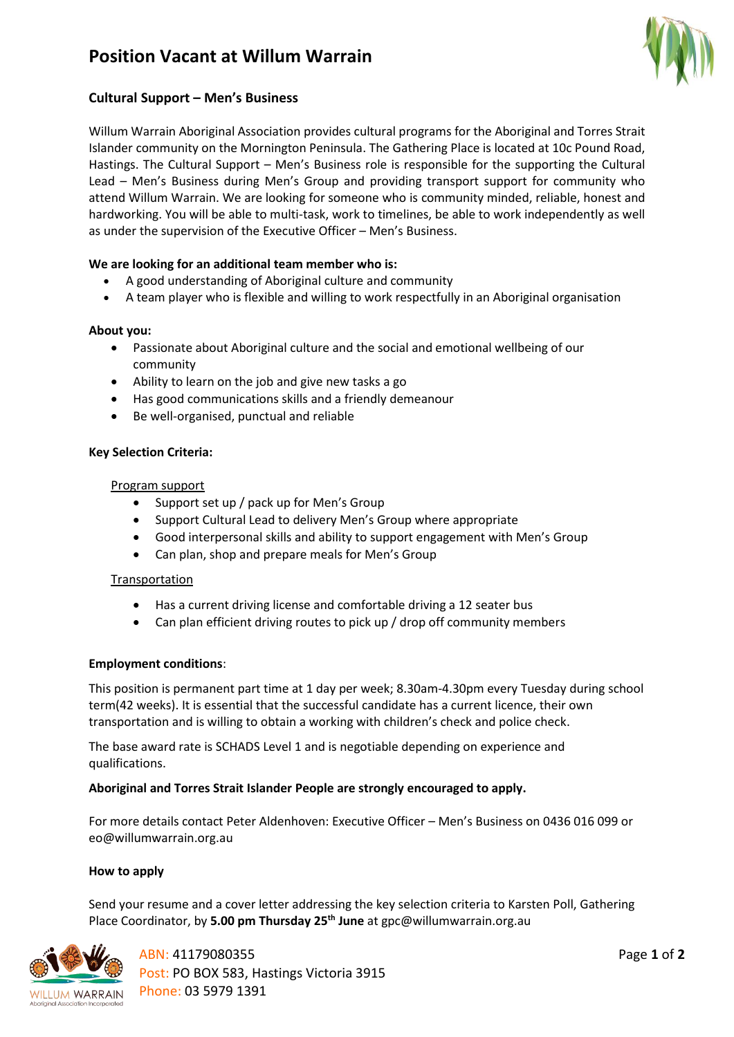# **Position Vacant at Willum Warrain**



### **Cultural Support – Men's Business**

Willum Warrain Aboriginal Association provides cultural programs for the Aboriginal and Torres Strait Islander community on the Mornington Peninsula. The Gathering Place is located at 10c Pound Road, Hastings. The Cultural Support – Men's Business role is responsible for the supporting the Cultural Lead – Men's Business during Men's Group and providing transport support for community who attend Willum Warrain. We are looking for someone who is community minded, reliable, honest and hardworking. You will be able to multi-task, work to timelines, be able to work independently as well as under the supervision of the Executive Officer – Men's Business.

### **We are looking for an additional team member who is:**

- A good understanding of Aboriginal culture and community
- A team player who is flexible and willing to work respectfully in an Aboriginal organisation

#### **About you:**

- Passionate about Aboriginal culture and the social and emotional wellbeing of our community
- Ability to learn on the job and give new tasks a go
- Has good communications skills and a friendly demeanour
- Be well-organised, punctual and reliable

#### **Key Selection Criteria:**

#### Program support

- Support set up / pack up for Men's Group
- Support Cultural Lead to delivery Men's Group where appropriate
- Good interpersonal skills and ability to support engagement with Men's Group
- Can plan, shop and prepare meals for Men's Group

#### Transportation

- Has a current driving license and comfortable driving a 12 seater bus
- Can plan efficient driving routes to pick up / drop off community members

#### **Employment conditions**:

This position is permanent part time at 1 day per week; 8.30am-4.30pm every Tuesday during school term(42 weeks). It is essential that the successful candidate has a current licence, their own transportation and is willing to obtain a working with children's check and police check.

The base award rate is SCHADS Level 1 and is negotiable depending on experience and qualifications.

#### **Aboriginal and Torres Strait Islander People are strongly encouraged to apply.**

For more details contact Peter Aldenhoven: Executive Officer – Men's Business on 0436 016 099 or eo@willumwarrain.org.au

#### **How to apply**

Send your resume and a cover letter addressing the key selection criteria to Karsten Poll, Gathering Place Coordinator, by **5.00 pm Thursday 25 th June** at gpc@willumwarrain.org.au



ABN: 41179080355 Post: PO BOX 583, Hastings Victoria 3915 Phone: 03 5979 1391